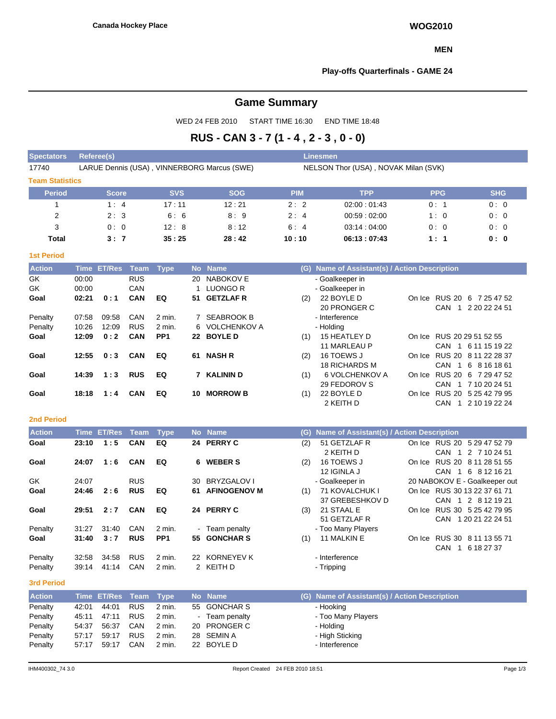## **MEN**

## **Play-offs Quarterfinals - GAME 24**

# **Game Summary**

WED 24 FEB 2010 START TIME 16:30 END TIME 18:48

# **RUS - CAN 3 - 7 (1 - 4 , 2 - 3 , 0 - 0)**

| <b>Spectators</b>      | Referee(s)                                  |            |            |                                      | <b>Linesmen</b> |            |            |  |  |  |  |  |  |
|------------------------|---------------------------------------------|------------|------------|--------------------------------------|-----------------|------------|------------|--|--|--|--|--|--|
| 17740                  | LARUE Dennis (USA), VINNERBORG Marcus (SWE) |            |            | NELSON Thor (USA), NOVAK Milan (SVK) |                 |            |            |  |  |  |  |  |  |
| <b>Team Statistics</b> |                                             |            |            |                                      |                 |            |            |  |  |  |  |  |  |
| <b>Period</b>          | <b>Score</b>                                | <b>SVS</b> | <b>SOG</b> | <b>PIM</b>                           | <b>TPP</b>      | <b>PPG</b> | <b>SHG</b> |  |  |  |  |  |  |
|                        | 1:4                                         | 17:11      | 12:21      | 2:2                                  | 02:00:01:43     | 0:1        | 0:0        |  |  |  |  |  |  |
| 2                      | 2:3                                         | 6:6        | 8:9        | 2:4                                  | 00:59:02:00     | 1:0        | 0:0        |  |  |  |  |  |  |
| 3                      | 0:0                                         | 12:8       | 8:12       | 6:4                                  | 03:14:04:00     | 0:0        | 0:0        |  |  |  |  |  |  |
| <b>Total</b>           | 3:7                                         | 35:25      | 28:42      | 10:10                                | 06:13:07:43     | 1:1        | 0: 0       |  |  |  |  |  |  |

# **1st Period**

| <b>Action</b> |       | Time ET/Res | Team       | Type            |    | No Name          |     | (G) Name of Assistant(s) / Action Description |        |                           |
|---------------|-------|-------------|------------|-----------------|----|------------------|-----|-----------------------------------------------|--------|---------------------------|
| GK            | 00:00 |             | <b>RUS</b> |                 | 20 | NABOKOV E        |     | - Goalkeeper in                               |        |                           |
| GK            | 00:00 |             | CAN        |                 |    | LUONGO R         |     | - Goalkeeper in                               |        |                           |
| Goal          | 02:21 | 0:1         | <b>CAN</b> | EQ              | 51 | <b>GETZLAF R</b> | (2) | 22 BOYLE D                                    | On Ice | RUS 20 6 7 25 47 52       |
|               |       |             |            |                 |    |                  |     | 20 PRONGER C                                  |        | CAN 1 2 20 22 24 51       |
| Penalty       | 07:58 | 09:58       | CAN        | 2 min.          | 7  | SEABROOK B       |     | - Interference                                |        |                           |
| Penalty       | 10:26 | 12:09       | <b>RUS</b> | 2 min.          |    | 6 VOLCHENKOV A   |     | - Holding                                     |        |                           |
| Goal          | 12:09 | 0:2         | CAN        | PP <sub>1</sub> | 22 | <b>BOYLE D</b>   | (1) | 15 HEATLEY D                                  |        | On Ice RUS 20 29 51 52 55 |
|               |       |             |            |                 |    |                  |     | 11 MARLEAU P                                  |        | CAN 1 6 11 15 19 22       |
| Goal          | 12:55 | 0:3         | <b>CAN</b> | EQ              | 61 | <b>NASH R</b>    | (2) | 16 TOEWS J                                    | On Ice | RUS 20 8 11 22 28 37      |
|               |       |             |            |                 |    |                  |     | <b>18 RICHARDS M</b>                          |        | CAN 1 6 8 16 18 61        |
| Goal          | 14:39 | 1:3         | <b>RUS</b> | EQ              |    | <b>KALININ D</b> | (1) | 6 VOLCHENKOV A                                | On Ice | RUS 20 6 7 29 47 52       |
|               |       |             |            |                 |    |                  |     | 29 FEDOROV S                                  |        | CAN 1 7 10 20 24 51       |
| Goal          | 18:18 | 1:4         | CAN        | EQ              | 10 | <b>MORROW B</b>  | (1) | 22 BOYLE D                                    | On Ice | RUS 20 5 25 42 79 95      |
|               |       |             |            |                 |    |                  |     | 2 KEITH D                                     |        | CAN 1 2 10 19 22 24       |

## **2nd Period**

| <b>Action</b>     |       | Time ET/Res Team |            | <b>Type</b>     |    | No Name             |     | (G) Name of Assistant(s) / Action Description |        |                                          |
|-------------------|-------|------------------|------------|-----------------|----|---------------------|-----|-----------------------------------------------|--------|------------------------------------------|
| Goal              | 23:10 | 1:5              | <b>CAN</b> | EQ              |    | 24 PERRY C          | (2) | 51 GETZLAF R                                  |        | On Ice RUS 20 5 29 47 52 79              |
|                   |       |                  |            |                 |    |                     |     | 2 KEITH D                                     |        | CAN 1 2 7 10 24 51                       |
| Goal              | 24:07 | 1:6              | <b>CAN</b> | EQ              |    | 6 WEBER S           | (2) | 16 TOEWS J                                    | On Ice | RUS 20 8 11 28 51 55                     |
|                   |       |                  |            |                 |    |                     |     | 12 IGINLA J                                   |        | CAN 1<br>6 8 12 16 21                    |
| GK.               | 24:07 |                  | <b>RUS</b> |                 | 30 | BRYZGALOV I         |     | - Goalkeeper in                               |        | 20 NABOKOV E - Goalkeeper out            |
| Goal              | 24:46 | 2:6              | <b>RUS</b> | EQ              | 61 | <b>AFINOGENOV M</b> | (1) | 71 KOVALCHUK I                                |        | On Ice RUS 30 13 22 37 61 71             |
|                   |       |                  |            |                 |    |                     |     | 37 GREBESHKOV D                               |        | CAN 1 2 8 12 19 21                       |
| Goal              | 29:51 | 2:7              | <b>CAN</b> | EQ              |    | 24 PERRY C          | (3) | 21 STAAL E                                    | On Ice | RUS 30 5 25 42 79 95                     |
|                   |       |                  |            |                 |    |                     |     | 51 GETZLAF R                                  |        | CAN 1 20 21 22 24 51                     |
| Penalty           | 31:27 | 31:40            | CAN        | 2 min.          |    | - Team penalty      |     | - Too Many Players                            |        |                                          |
| Goal              | 31:40 | 3:7              | <b>RUS</b> | PP <sub>1</sub> |    | 55 GONCHAR S        | (1) | 11 MALKIN E                                   |        | On Ice RUS 30 8 11 13 55 71              |
|                   |       |                  |            |                 |    |                     |     |                                               |        | <b>CAN</b><br>6 18 27 37<br>$\mathbf{1}$ |
| Penalty           | 32:58 | 34.58            | <b>RUS</b> | 2 min.          |    | 22 KORNEYEV K       |     | - Interference                                |        |                                          |
| Penalty           | 39:14 | 41:14            | CAN        | 2 min.          |    | 2 KEITH D           |     | - Tripping                                    |        |                                          |
| <b>3rd Period</b> |       |                  |            |                 |    |                     |     |                                               |        |                                          |

| <b>Action</b> |       | Time ET/Res Team Type |            |          | No Name      | (G) Name of Assistant(s) / Action Description |
|---------------|-------|-----------------------|------------|----------|--------------|-----------------------------------------------|
| Penalty       | 42:01 | 44:01                 | <b>RUS</b> | $2$ min. | 55 GONCHAR S | - Hooking                                     |
| Penalty       | 45:11 | 47:11                 | <b>RUS</b> | 2 min.   | Team penalty | - Too Many Players                            |
| Penalty       | 54:37 | 56:37                 | CAN        | 2 min.   | 20 PRONGER C | - Holding                                     |
| Penalty       | 57:17 | 59:17                 | <b>RUS</b> | 2 min.   | 28 SEMIN A   | - High Sticking                               |
| Penalty       | 57:17 | 59:17                 | <b>CAN</b> | 2 min.   | 22 BOYLE D   | - Interference                                |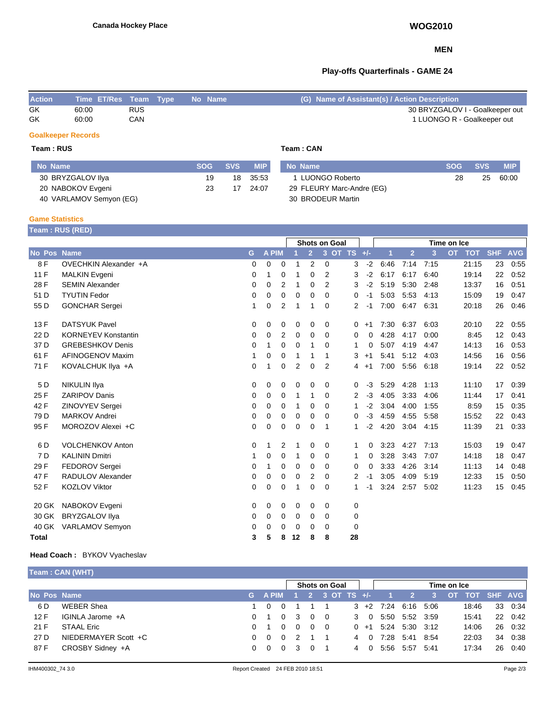# **MEN**

# **Play-offs Quarterfinals - GAME 24**

| <b>Action</b> | Time ET/Res Team Type No Name |            |  | (G) Name of Assistant(s) / Action Description |
|---------------|-------------------------------|------------|--|-----------------------------------------------|
| GK            | 60:00                         | <b>RUS</b> |  | 30 BRYZGALOV I - Goalkeeper out               |
| GK            | 60:00                         | CAN        |  | 1 LUONGO R - Goalkeeper out                   |

# **Goalkeeper Records**

**Team : RUS Team : CAN**

| No Name                 | <b>SOG</b> | $\sim$ SVS $\sim$ | MIP      | No Name                   | <b>SOG</b> | <b>SVS</b> | <b>MIP</b> |
|-------------------------|------------|-------------------|----------|---------------------------|------------|------------|------------|
| 30 BRYZGALOV IIya       | 19         |                   | 18 35:53 | 1 LUONGO Roberto          | 28         | 25         | 60:00      |
| 20 NABOKOV Evgeni       | 23         | 17                | 24:07    | 29 FLEURY Marc-Andre (EG) |            |            |            |
| 40 VARLAMOV Semyon (EG) |            |                   |          | 30 BRODEUR Martin         |            |            |            |

## **Game Statistics**

**Team : RUS (RED)**

|                 | and the contract of the contract of the contract of |             |          |                | <b>Shots on Goal</b> |                |                |             |      | Time on Ice |                |      |                         |            |            |  |
|-----------------|-----------------------------------------------------|-------------|----------|----------------|----------------------|----------------|----------------|-------------|------|-------------|----------------|------|-------------------------|------------|------------|--|
| No Pos Name     |                                                     | G           | A PIM    |                |                      | $\overline{2}$ |                | 3 OT TS +/- |      | и           | $\overline{2}$ | 3    | <b>TOT</b><br><b>OT</b> | <b>SHF</b> | <b>AVG</b> |  |
| 8F              | OVECHKIN Alexander +A                               | 0           | 0        | 0              |                      | 2              | 0              | 3           | $-2$ | 6:46        | 7:14           | 7:15 | 21:15                   | 23         | 0:55       |  |
| 11 F            | <b>MALKIN Evgeni</b>                                | 0           | 1        | 0              | 1                    | 0              | 2              | 3           | $-2$ | 6:17        | 6:17           | 6:40 | 19:14                   | 22         | 0:52       |  |
| 28 F            | <b>SEMIN Alexander</b>                              | 0           | 0        | 2              | 1                    | $\mathbf 0$    | 2              | 3           | $-2$ | 5:19        | 5:30           | 2:48 | 13:37                   | 16         | 0:51       |  |
| 51 D            | <b>TYUTIN Fedor</b>                                 | 0           | $\Omega$ | 0              | 0                    | 0              | $\Omega$       | 0           | -1   | 5:03        | 5:53           | 4:13 | 15:09                   | 19         | 0:47       |  |
| 55 D            | <b>GONCHAR Sergei</b>                               | 1           | 0        | 2              | 1                    | 1              | 0              | 2           | $-1$ | 7:00        | 6:47           | 6:31 | 20:18                   | 26         | 0:46       |  |
| 13F             | <b>DATSYUK Pavel</b>                                | 0           | 0        | 0              | 0                    | 0              | 0              | 0           | $+1$ | 7:30        | 6:37           | 6:03 | 20:10                   | 22         | 0:55       |  |
| 22 D            | <b>KORNEYEV Konstantin</b>                          | 0           | 0        | $\overline{2}$ | 0                    | 0              | $\Omega$       | 0           | 0    | 4:28        | 4:17           | 0:00 | 8:45                    | 12         | 0:43       |  |
| 37 D            | <b>GREBESHKOV Denis</b>                             | 0           | 1        | 0              | $\Omega$             | 1              | $\Omega$       | 1           | 0    | 5:07        | 4:19           | 4:47 | 14:13                   | 16         | 0:53       |  |
| 61 F            | AFINOGENOV Maxim                                    | 1           | 0        | 0              | 1                    | 1              | 1              | 3           | $+1$ | 5:41        | 5:12           | 4:03 | 14:56                   | 16         | 0:56       |  |
| 71 F            | KOVALCHUK IIya +A                                   | $\mathbf 0$ | 1        | 0              | $\overline{2}$       | 0              | $\overline{2}$ | 4           | $+1$ | 7:00        | 5:56           | 6:18 | 19:14                   | 22         | 0:52       |  |
| 5 D             | <b>NIKULIN IIya</b>                                 | 0           | 0        | 0              | 0                    | 0              | 0              | 0           | $-3$ | 5:29        | 4:28           | 1:13 | 11:10                   | 17         | 0:39       |  |
| 25 F            | <b>ZARIPOV Danis</b>                                | 0           | 0        | 0              | 1                    | 1              | $\Omega$       | 2           | $-3$ | 4:05        | 3:33           | 4:06 | 11:44                   | 17         | 0:41       |  |
| 42 F            | ZINOVYEV Sergei                                     | $\Omega$    | 0        | 0              | 1                    | $\Omega$       | $\Omega$       | 1           | $-2$ | 3:04        | 4:00           | 1:55 | 8:59                    | 15         | 0:35       |  |
| 79 <sub>D</sub> | <b>MARKOV Andrei</b>                                | 0           | 0        | 0              | 0                    | 0              | 0              | 0           | $-3$ | 4:59        | 4:55           | 5:58 | 15:52                   | 22         | 0:43       |  |
| 95 F            | MOROZOV Alexei +C                                   | $\Omega$    | 0        | 0              | 0                    | $\mathbf 0$    | 1              | 1           | $-2$ | 4:20        | 3:04           | 4:15 | 11:39                   | 21         | 0:33       |  |
| 6 D             | <b>VOLCHENKOV Anton</b>                             | 0           | 1        | 2              | 1                    | 0              | 0              | 1           | 0    | 3:23        | 4:27           | 7:13 | 15:03                   | 19         | 0:47       |  |
| 7 <sub>D</sub>  | <b>KALININ Dmitri</b>                               | 1           | 0        | 0              | 1                    | $\Omega$       | $\Omega$       | 1           | 0    | 3:28        | 3:43           | 7:07 | 14:18                   | 18         | 0:47       |  |
| 29 F            | FEDOROV Sergei                                      | 0           | 1        | 0              | 0                    | 0              | $\Omega$       | 0           | 0    | 3:33        | 4:26           | 3:14 | 11:13                   | 14         | 0:48       |  |
| 47 F            | RADULOV Alexander                                   | 0           | 0        | 0              | 0                    | 2              | 0              | 2           | $-1$ | 3:05        | 4:09           | 5:19 | 12:33                   | 15         | 0:50       |  |
| 52 F            | <b>KOZLOV Viktor</b>                                | 0           | 0        | 0              | 1                    | 0              | $\Omega$       | 1           | -1   | 3:24        | 2:57           | 5:02 | 11:23                   | 15         | 0:45       |  |
| 20 GK           | NABOKOV Evgeni                                      | 0           | 0        | 0              | $\Omega$             | $\Omega$       | 0              | 0           |      |             |                |      |                         |            |            |  |
| 30 GK           | <b>BRYZGALOV IIya</b>                               | 0           | 0        | 0              | 0                    | 0              | 0              | 0           |      |             |                |      |                         |            |            |  |
| 40 GK           | VARLAMOV Semyon                                     | 0           | 0        | 0              | 0                    | 0              | 0              | 0           |      |             |                |      |                         |            |            |  |
| <b>Total</b>    |                                                     | 3           | 5        | 8              | 12                   | 8              | 8              | 28          |      |             |                |      |                         |            |            |  |

# **Head Coach :** BYKOV Vyacheslav

| Team: CAN (WHT)      |          |                                              |                      |          |  |  |                          |   |                                                        |  |                                                                                                                   |       |    |                  |
|----------------------|----------|----------------------------------------------|----------------------|----------|--|--|--------------------------|---|--------------------------------------------------------|--|-------------------------------------------------------------------------------------------------------------------|-------|----|------------------|
|                      |          |                                              | <b>Shots on Goal</b> |          |  |  | Time on Ice              |   |                                                        |  |                                                                                                                   |       |    |                  |
| No Pos Name          |          |                                              |                      |          |  |  |                          |   |                                                        |  |                                                                                                                   |       |    |                  |
| <b>WEBER Shea</b>    |          | 0                                            |                      |          |  |  |                          |   |                                                        |  |                                                                                                                   | 18:46 |    | 33 0:34          |
| IGINLA Jarome +A     |          | $\Omega$                                     | -3                   |          |  |  |                          |   |                                                        |  |                                                                                                                   | 15:41 |    | 22 0:42          |
| STAAL Eric           |          | $\Omega$                                     | $\Omega$             |          |  |  |                          |   |                                                        |  |                                                                                                                   | 14:06 |    | 26 0:32          |
| NIEDERMAYER Scott +C | $\Omega$ | $\Omega$                                     | 2                    |          |  |  |                          |   |                                                        |  |                                                                                                                   | 22:03 | 34 | 0:38             |
| CROSBY Sidney +A     |          | $\Omega$                                     | -3                   | $\Omega$ |  |  |                          |   |                                                        |  |                                                                                                                   | 17:34 |    | 26 0:40          |
|                      |          | $0 \quad 1$<br>0 1<br>$\Omega$<br>$0\quad 0$ |                      |          |  |  | $0\quad 0$<br>$0\quad 0$ | 4 | G APIM 1 2 3 OT TS +/-<br>3 0<br>4 0<br>$\overline{0}$ |  | $-1$ $2$<br>$3 + 2$ 7:24 6:16 5:06<br>5.50 5.52 3.59<br>$0 +1$ 5:24 5:30 3:12<br>7:28 5:41 8:54<br>5:56 5:57 5:41 |       |    | 3 OT TOT SHF AVG |

Ė